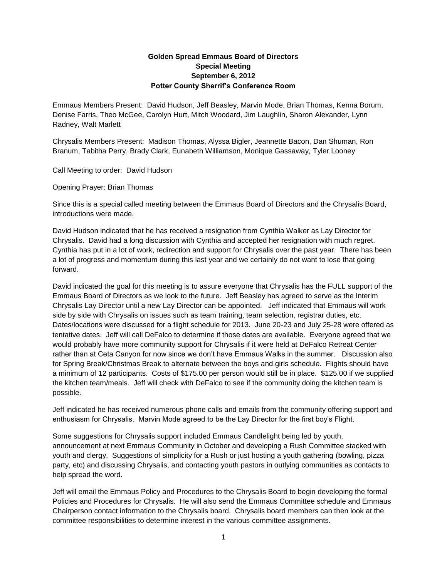## **Golden Spread Emmaus Board of Directors Special Meeting September 6, 2012 Potter County Sherrif's Conference Room**

Emmaus Members Present: David Hudson, Jeff Beasley, Marvin Mode, Brian Thomas, Kenna Borum, Denise Farris, Theo McGee, Carolyn Hurt, Mitch Woodard, Jim Laughlin, Sharon Alexander, Lynn Radney, Walt Marlett

Chrysalis Members Present: Madison Thomas, Alyssa Bigler, Jeannette Bacon, Dan Shuman, Ron Branum, Tabitha Perry, Brady Clark, Eunabeth Williamson, Monique Gassaway, Tyler Looney

Call Meeting to order: David Hudson

Opening Prayer: Brian Thomas

Since this is a special called meeting between the Emmaus Board of Directors and the Chrysalis Board, introductions were made.

David Hudson indicated that he has received a resignation from Cynthia Walker as Lay Director for Chrysalis. David had a long discussion with Cynthia and accepted her resignation with much regret. Cynthia has put in a lot of work, redirection and support for Chrysalis over the past year. There has been a lot of progress and momentum during this last year and we certainly do not want to lose that going forward.

David indicated the goal for this meeting is to assure everyone that Chrysalis has the FULL support of the Emmaus Board of Directors as we look to the future. Jeff Beasley has agreed to serve as the Interim Chrysalis Lay Director until a new Lay Director can be appointed. Jeff indicated that Emmaus will work side by side with Chrysalis on issues such as team training, team selection, registrar duties, etc. Dates/locations were discussed for a flight schedule for 2013. June 20-23 and July 25-28 were offered as tentative dates. Jeff will call DeFalco to determine if those dates are available. Everyone agreed that we would probably have more community support for Chrysalis if it were held at DeFalco Retreat Center rather than at Ceta Canyon for now since we don't have Emmaus Walks in the summer. Discussion also for Spring Break/Christmas Break to alternate between the boys and girls schedule. Flights should have a minimum of 12 participants. Costs of \$175.00 per person would still be in place. \$125.00 if we supplied the kitchen team/meals. Jeff will check with DeFalco to see if the community doing the kitchen team is possible.

Jeff indicated he has received numerous phone calls and emails from the community offering support and enthusiasm for Chrysalis. Marvin Mode agreed to be the Lay Director for the first boy's Flight.

Some suggestions for Chrysalis support included Emmaus Candlelight being led by youth, announcement at next Emmaus Community in October and developing a Rush Committee stacked with youth and clergy. Suggestions of simplicity for a Rush or just hosting a youth gathering (bowling, pizza party, etc) and discussing Chrysalis, and contacting youth pastors in outlying communities as contacts to help spread the word.

Jeff will email the Emmaus Policy and Procedures to the Chrysalis Board to begin developing the formal Policies and Procedures for Chrysalis. He will also send the Emmaus Committee schedule and Emmaus Chairperson contact information to the Chrysalis board. Chrysalis board members can then look at the committee responsibilities to determine interest in the various committee assignments.